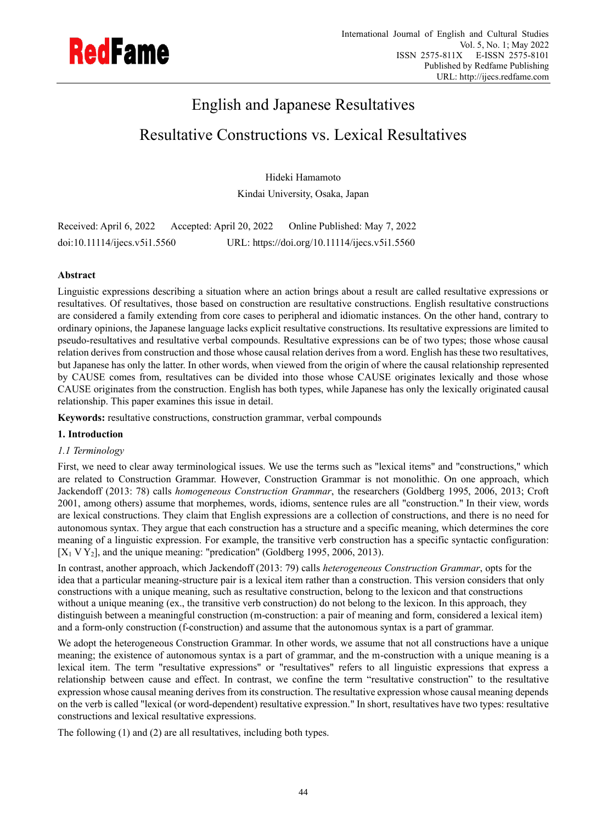

# English and Japanese Resultatives

# Resultative Constructions vs. Lexical Resultatives

Hideki Hamamoto Kindai University, Osaka, Japan

Received: April 6, 2022 Accepted: April 20, 2022 Online Published: May 7, 2022 doi:10.11114/ijecs.v5i1.5560 URL: https://doi.org/10.11114/ijecs.v5i1.5560

# **Abstract**

Linguistic expressions describing a situation where an action brings about a result are called resultative expressions or resultatives. Of resultatives, those based on construction are resultative constructions. English resultative constructions are considered a family extending from core cases to peripheral and idiomatic instances. On the other hand, contrary to ordinary opinions, the Japanese language lacks explicit resultative constructions. Its resultative expressions are limited to pseudo-resultatives and resultative verbal compounds. Resultative expressions can be of two types; those whose causal relation derives from construction and those whose causal relation derives from a word. English has these two resultatives, but Japanese has only the latter. In other words, when viewed from the origin of where the causal relationship represented by CAUSE comes from, resultatives can be divided into those whose CAUSE originates lexically and those whose CAUSE originates from the construction. English has both types, while Japanese has only the lexically originated causal relationship. This paper examines this issue in detail.

**Keywords:** resultative constructions, construction grammar, verbal compounds

## **1. Introduction**

## *1.1 Terminology*

First, we need to clear away terminological issues. We use the terms such as "lexical items" and "constructions," which are related to Construction Grammar. However, Construction Grammar is not monolithic. On one approach, which Jackendoff (2013: 78) calls *homogeneous Construction Grammar*, the researchers (Goldberg 1995, 2006, 2013; Croft 2001, among others) assume that morphemes, words, idioms, sentence rules are all "construction." In their view, words are lexical constructions. They claim that English expressions are a collection of constructions, and there is no need for autonomous syntax. They argue that each construction has a structure and a specific meaning, which determines the core meaning of a linguistic expression. For example, the transitive verb construction has a specific syntactic configuration:  $[X_1 \, V \, Y_2]$ , and the unique meaning: "predication" (Goldberg 1995, 2006, 2013).

In contrast, another approach, which Jackendoff (2013: 79) calls *heterogeneous Construction Grammar*, opts for the idea that a particular meaning-structure pair is a lexical item rather than a construction. This version considers that only constructions with a unique meaning, such as resultative construction, belong to the lexicon and that constructions without a unique meaning (ex., the transitive verb construction) do not belong to the lexicon. In this approach, they distinguish between a meaningful construction (m-construction: a pair of meaning and form, considered a lexical item) and a form-only construction (f-construction) and assume that the autonomous syntax is a part of grammar.

We adopt the heterogeneous Construction Grammar. In other words, we assume that not all constructions have a unique meaning; the existence of autonomous syntax is a part of grammar, and the m-construction with a unique meaning is a lexical item. The term "resultative expressions" or "resultatives" refers to all linguistic expressions that express a relationship between cause and effect. In contrast, we confine the term "resultative construction" to the resultative expression whose causal meaning derives from its construction. The resultative expression whose causal meaning depends on the verb is called "lexical (or word-dependent) resultative expression." In short, resultatives have two types: resultative constructions and lexical resultative expressions.

The following (1) and (2) are all resultatives, including both types.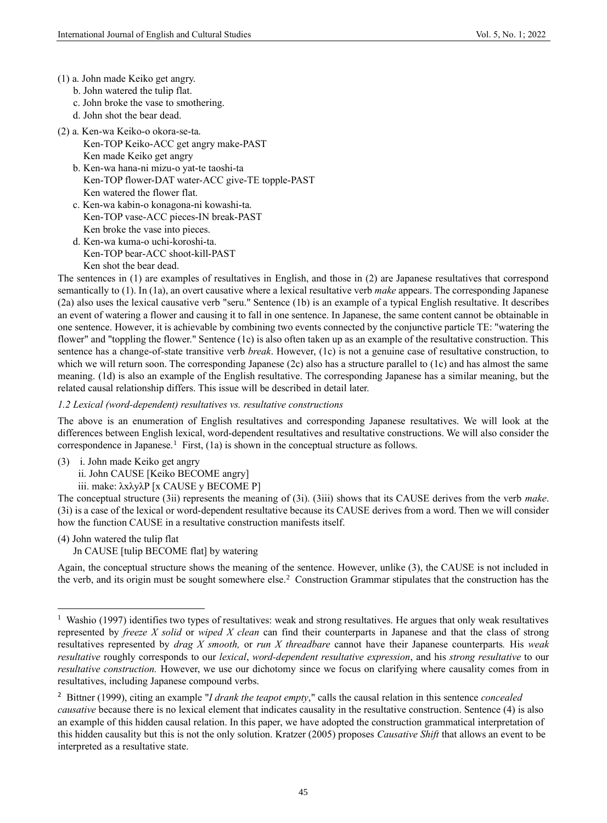- (1) a. John made Keiko get angry.
	- b. John watered the tulip flat.
	- c. John broke the vase to smothering.
	- d. John shot the bear dead.
- (2) a. Ken-wa Keiko-o okora-se-ta.
	- Ken-TOP Keiko-ACC get angry make-PAST Ken made Keiko get angry
	- b. Ken-wa hana-ni mizu-o yat-te taoshi-ta Ken-TOP flower-DAT water-ACC give-TE topple-PAST Ken watered the flower flat.
	- c. Ken-wa kabin-o konagona-ni kowashi-ta. Ken-TOP vase-ACC pieces-IN break-PAST Ken broke the vase into pieces.
	- d. Ken-wa kuma-o uchi-koroshi-ta. Ken-TOP bear-ACC shoot-kill-PAST Ken shot the bear dead.

The sentences in (1) are examples of resultatives in English, and those in (2) are Japanese resultatives that correspond semantically to (1). In (1a), an overt causative where a lexical resultative verb *make* appears. The corresponding Japanese (2a) also uses the lexical causative verb "seru." Sentence (1b) is an example of a typical English resultative. It describes an event of watering a flower and causing it to fall in one sentence. In Japanese, the same content cannot be obtainable in one sentence. However, it is achievable by combining two events connected by the conjunctive particle TE: "watering the flower" and "toppling the flower." Sentence (1c) is also often taken up as an example of the resultative construction. This sentence has a change-of-state transitive verb *break*. However, (1c) is not a genuine case of resultative construction, to which we will return soon. The corresponding Japanese (2c) also has a structure parallel to (1c) and has almost the same meaning. (1d) is also an example of the English resultative. The corresponding Japanese has a similar meaning, but the related causal relationship differs. This issue will be described in detail later.

*1.2 Lexical (word-dependent) resultatives vs. resultative constructions*

The above is an enumeration of English resultatives and corresponding Japanese resultatives. We will look at the differences between English lexical, word-dependent resultatives and resultative constructions. We will also consider the correspondence in Japanese.<sup>1</sup> First,  $(1a)$  is shown in the conceptual structure as follows.

(3) i. John made Keiko get angry ii. John CAUSE [Keiko BECOME angry]

iii. make: λxλyλP [x CAUSE y BECOME P]

The conceptual structure (3ii) represents the meaning of (3i). (3iii) shows that its CAUSE derives from the verb *make*. (3i) is a case of the lexical or word-dependent resultative because its CAUSE derives from a word. Then we will consider how the function CAUSE in a resultative construction manifests itself.

(4) John watered the tulip flat

Jn CAUSE [tulip BECOME flat] by watering

Again, the conceptual structure shows the meaning of the sentence. However, unlike (3), the CAUSE is not included in the verb, and its origin must be sought somewhere else.<sup>2</sup> Construction Grammar stipulates that the construction has the

<sup>&</sup>lt;sup>1</sup> Washio (1997) identifies two types of resultatives: weak and strong resultatives. He argues that only weak resultatives represented by *freeze X solid* or *wiped X clean* can find their counterparts in Japanese and that the class of strong resultatives represented by *drag X smooth,* or *run X threadbare* cannot have their Japanese counterparts*.* His *weak resultative* roughly corresponds to our *lexical*, *word-dependent resultative expression*, and his *strong resultative* to our *resultative construction.* However, we use our dichotomy since we focus on clarifying where causality comes from in resultatives, including Japanese compound verbs.

<sup>2</sup> Bittner (1999), citing an example "*I drank the teapot empty*," calls the causal relation in this sentence *concealed causative* because there is no lexical element that indicates causality in the resultative construction. Sentence (4) is also an example of this hidden causal relation. In this paper, we have adopted the construction grammatical interpretation of this hidden causality but this is not the only solution. Kratzer (2005) proposes *Causative Shift* that allows an event to be interpreted as a resultative state.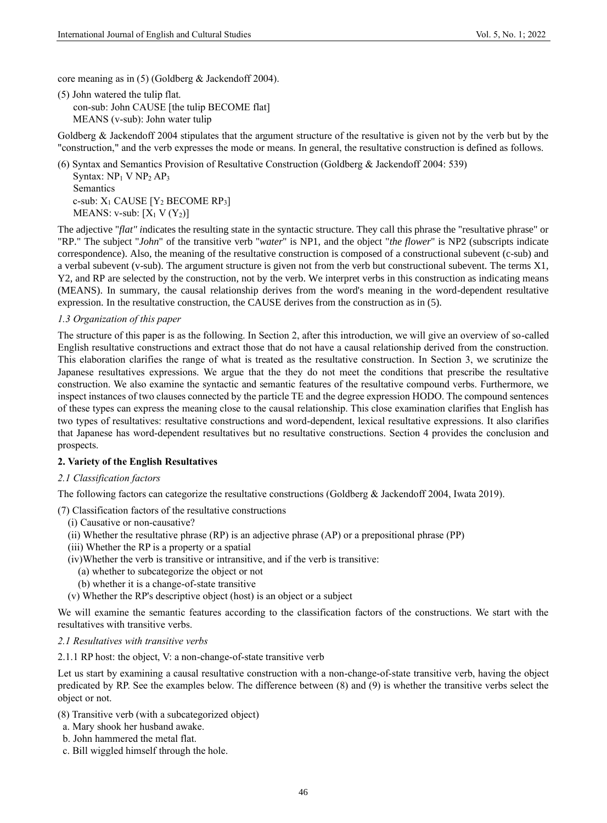core meaning as in (5) (Goldberg & Jackendoff 2004).

(5) John watered the tulip flat. con-sub: John CAUSE [the tulip BECOME flat] MEANS (v-sub): John water tulip

Goldberg & Jackendoff 2004 stipulates that the argument structure of the resultative is given not by the verb but by the "construction," and the verb expresses the mode or means. In general, the resultative construction is defined as follows.

(6) Syntax and Semantics Provision of Resultative Construction (Goldberg & Jackendoff 2004: 539) Syntax:  $NP_1$  V  $NP_2$   $AP_3$ Semantics c-sub: X<sup>1</sup> CAUSE [Y<sup>2</sup> BECOME RP3] MEANS: v-sub:  $[X_1 \ V(Y_2)]$ 

The adjective "*flat" i*ndicates the resulting state in the syntactic structure. They call this phrase the "resultative phrase" or "RP." The subject "*John*" of the transitive verb "*water*" is NP1, and the object "*the flower*" is NP2 (subscripts indicate correspondence). Also, the meaning of the resultative construction is composed of a constructional subevent (c-sub) and a verbal subevent (v-sub). The argument structure is given not from the verb but constructional subevent. The terms X1, Y2, and RP are selected by the construction, not by the verb. We interpret verbs in this construction as indicating means (MEANS). In summary, the causal relationship derives from the word's meaning in the word-dependent resultative expression. In the resultative construction, the CAUSE derives from the construction as in (5).

### *1.3 Organization of this paper*

The structure of this paper is as the following. In Section 2, after this introduction, we will give an overview of so-called English resultative constructions and extract those that do not have a causal relationship derived from the construction. This elaboration clarifies the range of what is treated as the resultative construction. In Section 3, we scrutinize the Japanese resultatives expressions. We argue that the they do not meet the conditions that prescribe the resultative construction. We also examine the syntactic and semantic features of the resultative compound verbs. Furthermore, we inspect instances of two clauses connected by the particle TE and the degree expression HODO. The compound sentences of these types can express the meaning close to the causal relationship. This close examination clarifies that English has two types of resultatives: resultative constructions and word-dependent, lexical resultative expressions. It also clarifies that Japanese has word-dependent resultatives but no resultative constructions. Section 4 provides the conclusion and prospects.

## **2. Variety of the English Resultatives**

## *2.1 Classification factors*

The following factors can categorize the resultative constructions (Goldberg & Jackendoff 2004, Iwata 2019).

(7) Classification factors of the resultative constructions

- (i) Causative or non-causative?
- (ii) Whether the resultative phrase (RP) is an adjective phrase (AP) or a prepositional phrase (PP)
- (iii) Whether the RP is a property or a spatial
- (iv)Whether the verb is transitive or intransitive, and if the verb is transitive:
	- (a) whether to subcategorize the object or not
	- (b) whether it is a change-of-state transitive
- (v) Whether the RP's descriptive object (host) is an object or a subject

We will examine the semantic features according to the classification factors of the constructions. We start with the resultatives with transitive verbs.

#### *2.1 Resultatives with transitive verbs*

2.1.1 RP host: the object, V: a non-change-of-state transitive verb

Let us start by examining a causal resultative construction with a non-change-of-state transitive verb, having the object predicated by RP. See the examples below. The difference between (8) and (9) is whether the transitive verbs select the object or not.

- (8) Transitive verb (with a subcategorized object)
- a. Mary shook her husband awake.
- b. John hammered the metal flat.
- c. Bill wiggled himself through the hole.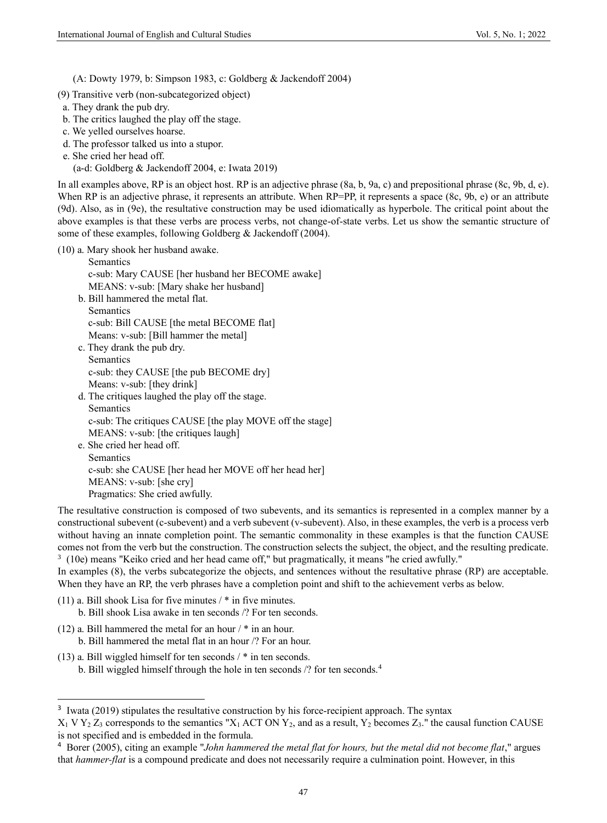(A: Dowty 1979, b: Simpson 1983, c: Goldberg & Jackendoff 2004)

- (9) Transitive verb (non-subcategorized object)
- a. They drank the pub dry.
- b. The critics laughed the play off the stage.
- c. We yelled ourselves hoarse.
- d. The professor talked us into a stupor.
- e. She cried her head off.

(a-d: Goldberg & Jackendoff 2004, e: Iwata 2019)

In all examples above, RP is an object host. RP is an adjective phrase (8a, b, 9a, c) and prepositional phrase (8c, 9b, d, e). When RP is an adjective phrase, it represents an attribute. When RP=PP, it represents a space (8c, 9b, e) or an attribute (9d). Also, as in (9e), the resultative construction may be used idiomatically as hyperbole. The critical point about the above examples is that these verbs are process verbs, not change-of-state verbs. Let us show the semantic structure of some of these examples, following Goldberg & Jackendoff (2004).

(10) a. Mary shook her husband awake.

 Semantics c-sub: Mary CAUSE [her husband her BECOME awake] MEANS: v-sub: [Mary shake her husband] b. Bill hammered the metal flat. Semantics c-sub: Bill CAUSE [the metal BECOME flat] Means: v-sub: [Bill hammer the metal] c. They drank the pub dry. Semantics c-sub: they CAUSE [the pub BECOME dry] Means: v-sub: [they drink] d. The critiques laughed the play off the stage. Semantics c-sub: The critiques CAUSE [the play MOVE off the stage] MEANS: v-sub: [the critiques laugh] e. She cried her head off. Semantics c-sub: she CAUSE [her head her MOVE off her head her] MEANS: v-sub: [she cry]

Pragmatics: She cried awfully.

The resultative construction is composed of two subevents, and its semantics is represented in a complex manner by a constructional subevent (c-subevent) and a verb subevent (v-subevent). Also, in these examples, the verb is a process verb without having an innate completion point. The semantic commonality in these examples is that the function CAUSE comes not from the verb but the construction. The construction selects the subject, the object, and the resulting predicate.  $3$  (10e) means "Keiko cried and her head came off," but pragmatically, it means "he cried awfully."

In examples (8), the verbs subcategorize the objects, and sentences without the resultative phrase (RP) are acceptable. When they have an RP, the verb phrases have a completion point and shift to the achievement verbs as below.

- (11) a. Bill shook Lisa for five minutes  $/$  \* in five minutes. b. Bill shook Lisa awake in ten seconds /? For ten seconds.
- (12) a. Bill hammered the metal for an hour  $/$  \* in an hour.
	- b. Bill hammered the metal flat in an hour /? For an hour.
- (13) a. Bill wiggled himself for ten seconds / \* in ten seconds.
	- b. Bill wiggled himself through the hole in ten seconds /? for ten seconds.<sup>4</sup>

<sup>&</sup>lt;sup>3</sup> Iwata (2019) stipulates the resultative construction by his force-recipient approach. The syntax

 $X_1$  V Y<sub>2</sub> Z<sub>3</sub> corresponds to the semantics "X<sub>1</sub> ACT ON Y<sub>2</sub>, and as a result, Y<sub>2</sub> becomes Z<sub>3</sub>." the causal function CAUSE is not specified and is embedded in the formula.

<sup>4</sup> Borer (2005), citing an example "*John hammered the metal flat for hours, but the metal did not become flat*," argues that *hammer-flat* is a compound predicate and does not necessarily require a culmination point. However, in this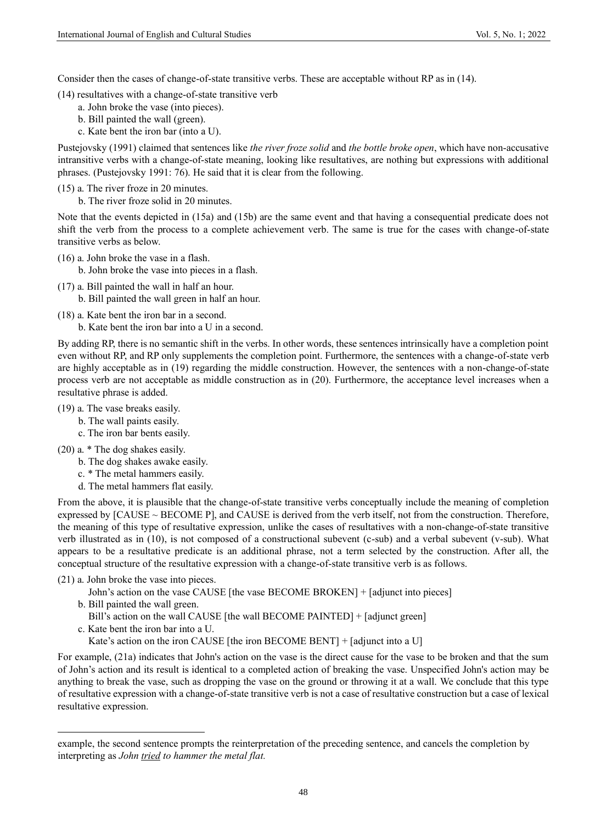Consider then the cases of change-of-state transitive verbs. These are acceptable without RP as in (14).

(14) resultatives with a change-of-state transitive verb

- a. John broke the vase (into pieces).
- b. Bill painted the wall (green).
- c. Kate bent the iron bar (into a U).

Pustejovsky (1991) claimed that sentences like *the river froze solid* and *the bottle broke open*, which have non-accusative intransitive verbs with a change-of-state meaning, looking like resultatives, are nothing but expressions with additional phrases. (Pustejovsky 1991: 76). He said that it is clear from the following.

(15) a. The river froze in 20 minutes.

b. The river froze solid in 20 minutes.

Note that the events depicted in (15a) and (15b) are the same event and that having a consequential predicate does not shift the verb from the process to a complete achievement verb. The same is true for the cases with change-of-state transitive verbs as below.

(16) a. John broke the vase in a flash.

b. John broke the vase into pieces in a flash.

(17) a. Bill painted the wall in half an hour.

b. Bill painted the wall green in half an hour.

(18) a. Kate bent the iron bar in a second.

b. Kate bent the iron bar into a U in a second.

By adding RP, there is no semantic shift in the verbs. In other words, these sentences intrinsically have a completion point even without RP, and RP only supplements the completion point. Furthermore, the sentences with a change-of-state verb are highly acceptable as in (19) regarding the middle construction. However, the sentences with a non-change-of-state process verb are not acceptable as middle construction as in (20). Furthermore, the acceptance level increases when a resultative phrase is added.

- (19) a. The vase breaks easily.
	- b. The wall paints easily.
	- c. The iron bar bents easily.
- (20) a. \* The dog shakes easily.
	- b. The dog shakes awake easily.
	- c. \* The metal hammers easily.
	- d. The metal hammers flat easily.

From the above, it is plausible that the change-of-state transitive verbs conceptually include the meaning of completion expressed by  $[CAUSE \sim BECOME$  P], and CAUSE is derived from the verb itself, not from the construction. Therefore, the meaning of this type of resultative expression, unlike the cases of resultatives with a non-change-of-state transitive verb illustrated as in (10), is not composed of a constructional subevent (c-sub) and a verbal subevent (v-sub). What appears to be a resultative predicate is an additional phrase, not a term selected by the construction. After all, the conceptual structure of the resultative expression with a change-of-state transitive verb is as follows.

- (21) a. John broke the vase into pieces.
	- John's action on the vase CAUSE [the vase BECOME BROKEN] + [adjunct into pieces]
	- b. Bill painted the wall green.
	- Bill's action on the wall CAUSE [the wall BECOME PAINTED] + [adjunct green]
	- c. Kate bent the iron bar into a U.

Kate's action on the iron CAUSE [the iron BECOME BENT] + [adjunct into a U]

For example, (21a) indicates that John's action on the vase is the direct cause for the vase to be broken and that the sum of John's action and its result is identical to a completed action of breaking the vase. Unspecified John's action may be anything to break the vase, such as dropping the vase on the ground or throwing it at a wall. We conclude that this type of resultative expression with a change-of-state transitive verb is not a case of resultative construction but a case of lexical resultative expression.

example, the second sentence prompts the reinterpretation of the preceding sentence, and cancels the completion by interpreting as *John tried to hammer the metal flat.*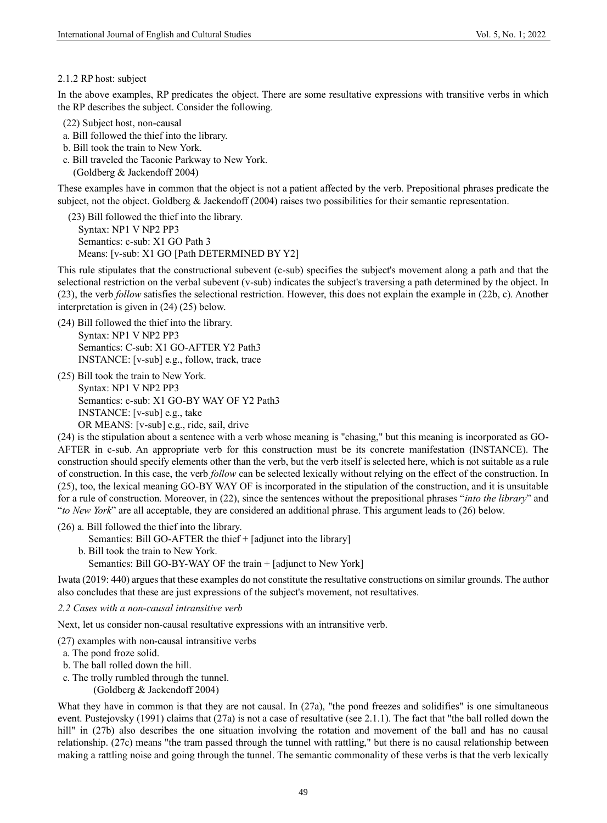#### 2.1.2 RP host: subject

In the above examples, RP predicates the object. There are some resultative expressions with transitive verbs in which the RP describes the subject. Consider the following.

- (22) Subject host, non-causal
- a. Bill followed the thief into the library.
- b. Bill took the train to New York.
- c. Bill traveled the Taconic Parkway to New York. (Goldberg & Jackendoff 2004)

These examples have in common that the object is not a patient affected by the verb. Prepositional phrases predicate the subject, not the object. Goldberg & Jackendoff (2004) raises two possibilities for their semantic representation.

(23) Bill followed the thief into the library. Syntax: NP1 V NP2 PP3 Semantics: c-sub: X1 GO Path 3 Means: [v-sub: X1 GO [Path DETERMINED BY Y2]

This rule stipulates that the constructional subevent (c-sub) specifies the subject's movement along a path and that the selectional restriction on the verbal subevent (v-sub) indicates the subject's traversing a path determined by the object. In (23), the verb *follow* satisfies the selectional restriction. However, this does not explain the example in (22b, c). Another interpretation is given in (24) (25) below.

- (24) Bill followed the thief into the library. Syntax: NP1 V NP2 PP3 Semantics: C-sub: X1 GO-AFTER Y2 Path3 INSTANCE: [v-sub] e.g., follow, track, trace
- (25) Bill took the train to New York. Syntax: NP1 V NP2 PP3 Semantics: c-sub: X1 GO-BY WAY OF Y2 Path3 INSTANCE: [v-sub] e.g., take OR MEANS: [v-sub] e.g., ride, sail, drive

(24) is the stipulation about a sentence with a verb whose meaning is "chasing," but this meaning is incorporated as GO-AFTER in c-sub. An appropriate verb for this construction must be its concrete manifestation (INSTANCE). The construction should specify elements other than the verb, but the verb itself is selected here, which is not suitable as a rule of construction. In this case, the verb *follow* can be selected lexically without relying on the effect of the construction. In (25), too, the lexical meaning GO-BY WAY OF is incorporated in the stipulation of the construction, and it is unsuitable for a rule of construction. Moreover, in (22), since the sentences without the prepositional phrases "*into the library*" and "*to New York*" are all acceptable, they are considered an additional phrase. This argument leads to (26) below.

- (26) a. Bill followed the thief into the library.
	- Semantics: Bill GO-AFTER the thief + [adjunct into the library]
	- b. Bill took the train to New York. Semantics: Bill GO-BY-WAY OF the train + [adjunct to New York]

Iwata (2019: 440) argues that these examples do not constitute the resultative constructions on similar grounds. The author also concludes that these are just expressions of the subject's movement, not resultatives.

#### *2.2 Cases with a non-causal intransitive verb*

Next, let us consider non-causal resultative expressions with an intransitive verb.

(27) examples with non-causal intransitive verbs

- a. The pond froze solid.
- b. The ball rolled down the hill.
- c. The trolly rumbled through the tunnel.
	- (Goldberg & Jackendoff 2004)

What they have in common is that they are not causal. In (27a), "the pond freezes and solidifies" is one simultaneous event. Pustejovsky (1991) claims that (27a) is not a case of resultative (see 2.1.1). The fact that "the ball rolled down the hill" in (27b) also describes the one situation involving the rotation and movement of the ball and has no causal relationship. (27c) means "the tram passed through the tunnel with rattling," but there is no causal relationship between making a rattling noise and going through the tunnel. The semantic commonality of these verbs is that the verb lexically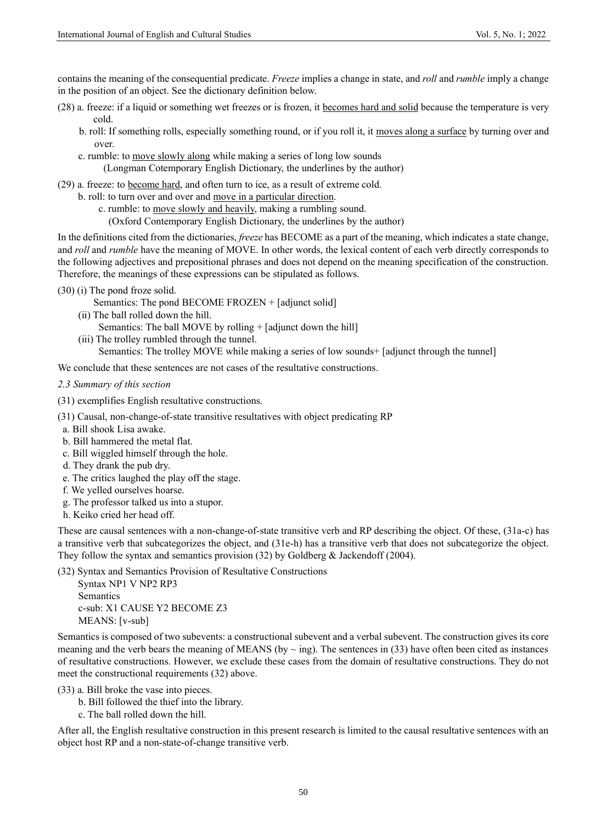contains the meaning of the consequential predicate. *Freeze* implies a change in state, and *roll* and *rumble* imply a change in the position of an object. See the dictionary definition below.

- (28) a. freeze: if a liquid or something wet freezes or is frozen, it becomes hard and solid because the temperature is very cold.
	- b. roll: If something rolls, especially something round, or if you roll it, it moves along a surface by turning over and over.
	- c. rumble: to move slowly along while making a series of long low sounds (Longman Cotemporary English Dictionary, the underlines by the author)
- (29) a. freeze: to become hard, and often turn to ice, as a result of extreme cold.
	- b. roll: to turn over and over and move in a particular direction.
		- c. rumble: to move slowly and heavily, making a rumbling sound.
			- (Oxford Contemporary English Dictionary, the underlines by the author)

In the definitions cited from the dictionaries, *freeze* has BECOME as a part of the meaning, which indicates a state change, and *roll* and *rumble* have the meaning of MOVE. In other words, the lexical content of each verb directly corresponds to the following adjectives and prepositional phrases and does not depend on the meaning specification of the construction. Therefore, the meanings of these expressions can be stipulated as follows.

- (30) (i) The pond froze solid.
	- Semantics: The pond BECOME FROZEN + [adjunct solid]
	- (ii) The ball rolled down the hill.
		- Semantics: The ball MOVE by rolling + [adjunct down the hill]
	- (iii) The trolley rumbled through the tunnel. Semantics: The trolley MOVE while making a series of low sounds+ [adjunct through the tunnel]

We conclude that these sentences are not cases of the resultative constructions.

- *2.3 Summary of this section*
- (31) exemplifies English resultative constructions.
- (31) Causal, non-change-of-state transitive resultatives with object predicating RP
- a. Bill shook Lisa awake.
- b. Bill hammered the metal flat.
- c. Bill wiggled himself through the hole.
- d. They drank the pub dry.
- e. The critics laughed the play off the stage.
- f. We yelled ourselves hoarse.
- g. The professor talked us into a stupor.
- h. Keiko cried her head off.

These are causal sentences with a non-change-of-state transitive verb and RP describing the object. Of these, (31a-c) has a transitive verb that subcategorizes the object, and (31e-h) has a transitive verb that does not subcategorize the object. They follow the syntax and semantics provision (32) by Goldberg & Jackendoff (2004).

(32) Syntax and Semantics Provision of Resultative Constructions

Syntax NP1 V NP2 RP3 Semantics c-sub: X1 CAUSE Y2 BECOME Z3 MEANS: [v-sub]

Semantics is composed of two subevents: a constructional subevent and a verbal subevent. The construction gives its core meaning and the verb bears the meaning of MEANS (by  $\sim$  ing). The sentences in (33) have often been cited as instances of resultative constructions. However, we exclude these cases from the domain of resultative constructions. They do not meet the constructional requirements (32) above.

(33) a. Bill broke the vase into pieces.

- b. Bill followed the thief into the library.
- c. The ball rolled down the hill.

After all, the English resultative construction in this present research is limited to the causal resultative sentences with an object host RP and a non-state-of-change transitive verb.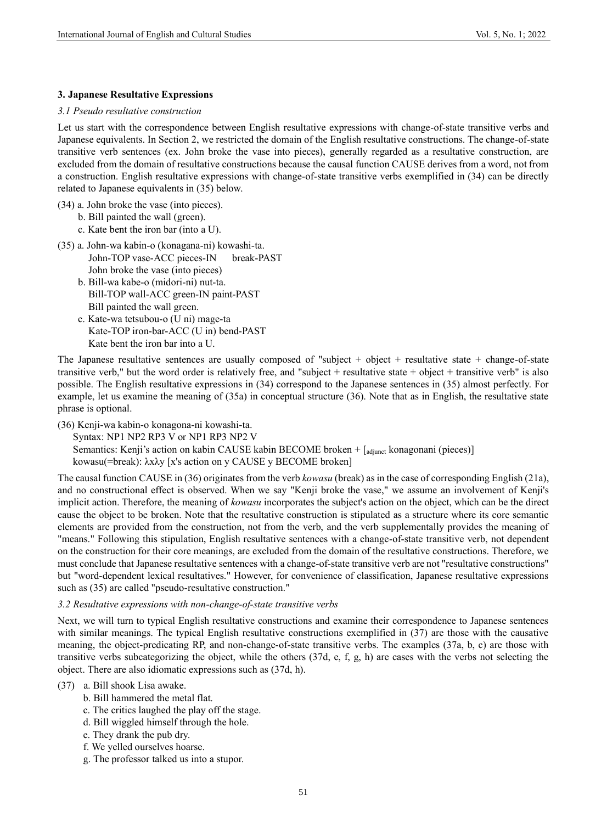### **3. Japanese Resultative Expressions**

#### *3.1 Pseudo resultative construction*

Let us start with the correspondence between English resultative expressions with change-of-state transitive verbs and Japanese equivalents. In Section 2, we restricted the domain of the English resultative constructions. The change-of-state transitive verb sentences (ex. John broke the vase into pieces), generally regarded as a resultative construction, are excluded from the domain of resultative constructions because the causal function CAUSE derives from a word, not from a construction. English resultative expressions with change-of-state transitive verbs exemplified in (34) can be directly related to Japanese equivalents in (35) below.

- (34) a. John broke the vase (into pieces).
	- b. Bill painted the wall (green).
	- c. Kate bent the iron bar (into a U).
- (35) a. John-wa kabin-o (konagana-ni) kowashi-ta. John-TOP vase-ACC pieces-IN break-PAST John broke the vase (into pieces)
	- b. Bill-wa kabe-o (midori-ni) nut-ta. Bill-TOP wall-ACC green-IN paint-PAST Bill painted the wall green.
	- c. Kate-wa tetsubou-o (U ni) mage-ta Kate-TOP iron-bar-ACC (U in) bend-PAST Kate bent the iron bar into a U.

The Japanese resultative sentences are usually composed of "subject + object + resultative state + change-of-state transitive verb," but the word order is relatively free, and "subject + resultative state + object + transitive verb" is also possible. The English resultative expressions in (34) correspond to the Japanese sentences in (35) almost perfectly. For example, let us examine the meaning of (35a) in conceptual structure (36). Note that as in English, the resultative state phrase is optional.

(36) Kenji-wa kabin-o konagona-ni kowashi-ta.

Syntax: NP1 NP2 RP3 V or NP1 RP3 NP2 V

Semantics: Kenji's action on kabin CAUSE kabin BECOME broken + [adjunct konagonani (pieces)]

kowasu(=break): λxλy [x's action on y CAUSE y BECOME broken]

The causal function CAUSE in (36) originates from the verb *kowasu* (break) as in the case of corresponding English (21a), and no constructional effect is observed. When we say "Kenji broke the vase," we assume an involvement of Kenji's implicit action. Therefore, the meaning of *kowasu* incorporates the subject's action on the object, which can be the direct cause the object to be broken. Note that the resultative construction is stipulated as a structure where its core semantic elements are provided from the construction, not from the verb, and the verb supplementally provides the meaning of "means." Following this stipulation, English resultative sentences with a change-of-state transitive verb, not dependent on the construction for their core meanings, are excluded from the domain of the resultative constructions. Therefore, we must conclude that Japanese resultative sentences with a change-of-state transitive verb are not "resultative constructions" but "word-dependent lexical resultatives." However, for convenience of classification, Japanese resultative expressions such as (35) are called "pseudo-resultative construction."

## *3.2 Resultative expressions with non-change-of-state transitive verbs*

Next, we will turn to typical English resultative constructions and examine their correspondence to Japanese sentences with similar meanings. The typical English resultative constructions exemplified in (37) are those with the causative meaning, the object-predicating RP, and non-change-of-state transitive verbs. The examples (37a, b, c) are those with transitive verbs subcategorizing the object, while the others (37d, e, f, g, h) are cases with the verbs not selecting the object. There are also idiomatic expressions such as (37d, h).

# (37) a. Bill shook Lisa awake.

- b. Bill hammered the metal flat.
- c. The critics laughed the play off the stage.
- d. Bill wiggled himself through the hole.
- e. They drank the pub dry.
- f. We yelled ourselves hoarse.
- g. The professor talked us into a stupor.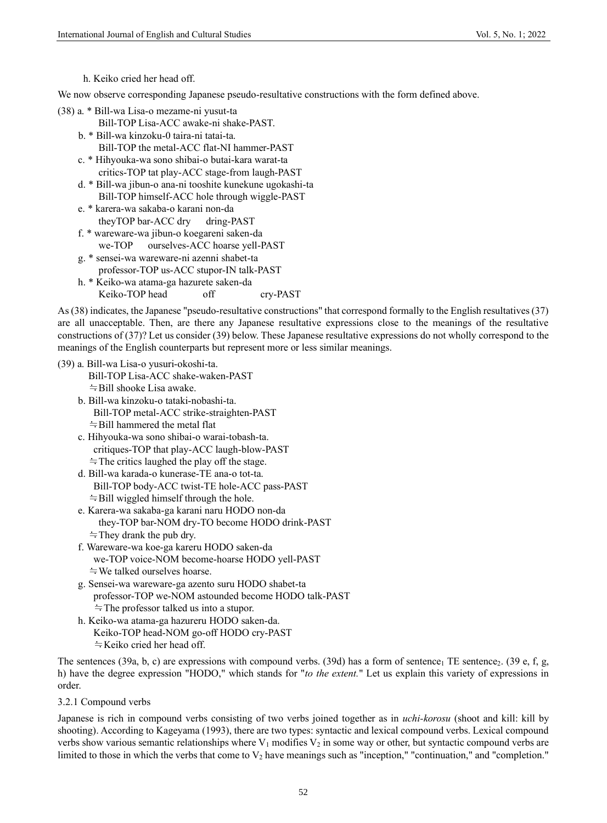h. Keiko cried her head off.

We now observe corresponding Japanese pseudo-resultative constructions with the form defined above.

- (38) a. \* Bill-wa Lisa-o mezame-ni yusut-ta
	- Bill-TOP Lisa-ACC awake-ni shake-PAST.
	- b. \* Bill-wa kinzoku-0 taira-ni tatai-ta. Bill-TOP the metal-ACC flat-NI hammer-PAST
	- c. \* Hihyouka-wa sono shibai-o butai-kara warat-ta critics-TOP tat play-ACC stage-from laugh-PAST
	- d. \* Bill-wa jibun-o ana-ni tooshite kunekune ugokashi-ta Bill-TOP himself-ACC hole through wiggle-PAST
	- e. \* karera-wa sakaba-o karani non-da theyTOP bar-ACC dry dring-PAST
	- f. \* wareware-wa jibun-o koegareni saken-da we-TOP ourselves-ACC hoarse yell-PAST
	- g. \* sensei-wa wareware-ni azenni shabet-ta professor-TOP us-ACC stupor-IN talk-PAST h. \* Keiko-wa atama-ga hazurete saken-da
		- Keiko-TOP head off cry-PAST

As (38) indicates, the Japanese "pseudo-resultative constructions" that correspond formally to the English resultatives (37) are all unacceptable. Then, are there any Japanese resultative expressions close to the meanings of the resultative constructions of (37)? Let us consider (39) below. These Japanese resultative expressions do not wholly correspond to the meanings of the English counterparts but represent more or less similar meanings.

# (39) a. Bill-wa Lisa-o yusuri-okoshi-ta.

- Bill-TOP Lisa-ACC shake-waken-PAST ≒Bill shooke Lisa awake.
- b. Bill-wa kinzoku-o tataki-nobashi-ta. Bill-TOP metal-ACC strike-straighten-PAST ≒Bill hammered the metal flat
- c. Hihyouka-wa sono shibai-o warai-tobash-ta. critiques-TOP that play-ACC laugh-blow-PAST ≒The critics laughed the play off the stage.
- d. Bill-wa karada-o kunerase-TE ana-o tot-ta. Bill-TOP body-ACC twist-TE hole-ACC pass-PAST ≒Bill wiggled himself through the hole.
- e. Karera-wa sakaba-ga karani naru HODO non-da they-TOP bar-NOM dry-TO become HODO drink-PAST ≒They drank the pub dry.
- f. Wareware-wa koe-ga kareru HODO saken-da we-TOP voice-NOM become-hoarse HODO yell-PAST ≒We talked ourselves hoarse.
- g. Sensei-wa wareware-ga azento suru HODO shabet-ta professor-TOP we-NOM astounded become HODO talk-PAST ≒The professor talked us into a stupor.
- h. Keiko-wa atama-ga hazureru HODO saken-da. Keiko-TOP head-NOM go-off HODO cry-PAST ≒Keiko cried her head off.

The sentences (39a, b, c) are expressions with compound verbs. (39d) has a form of sentence<sub>1</sub> TE sentence<sub>2</sub>. (39 e, f, g, h) have the degree expression "HODO," which stands for "*to the extent.*" Let us explain this variety of expressions in order.

## 3.2.1 Compound verbs

Japanese is rich in compound verbs consisting of two verbs joined together as in *uchi-korosu* (shoot and kill: kill by shooting). According to Kageyama (1993), there are two types: syntactic and lexical compound verbs. Lexical compound verbs show various semantic relationships where  $V_1$  modifies  $V_2$  in some way or other, but syntactic compound verbs are limited to those in which the verbs that come to  $V_2$  have meanings such as "inception," "continuation," and "completion."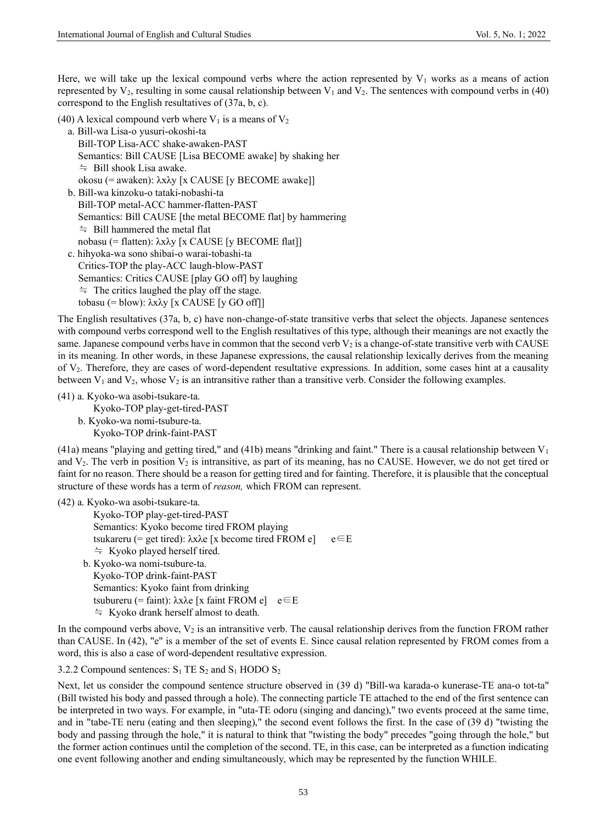Here, we will take up the lexical compound verbs where the action represented by  $V_1$  works as a means of action represented by  $V_2$ , resulting in some causal relationship between  $V_1$  and  $V_2$ . The sentences with compound verbs in (40) correspond to the English resultatives of (37a, b, c).

(40) A lexical compound verb where  $V_1$  is a means of  $V_2$ 

a. Bill-wa Lisa-o yusuri-okoshi-ta

```
Bill-TOP Lisa-ACC shake-awaken-PAST
  Semantics: Bill CAUSE [Lisa BECOME awake] by shaking her
   ≒ Bill shook Lisa awake.
   okosu (= awaken): λxλy [x CAUSE [y BECOME awake]]
b. Bill-wa kinzoku-o tataki-nobashi-ta
  Bill-TOP metal-ACC hammer-flatten-PAST
  Semantics: Bill CAUSE [the metal BECOME flat] by hammering
```
≒ Bill hammered the metal flat

nobasu (= flatten): λxλy [x CAUSE [y BECOME flat]]

c. hihyoka-wa sono shibai-o warai-tobashi-ta Critics-TOP the play-ACC laugh-blow-PAST Semantics: Critics CAUSE [play GO off] by laughing ≒ The critics laughed the play off the stage. tobasu (= blow): λxλy [x CAUSE [y GO off]]

The English resultatives (37a, b, c) have non-change-of-state transitive verbs that select the objects. Japanese sentences with compound verbs correspond well to the English resultatives of this type, although their meanings are not exactly the same. Japanese compound verbs have in common that the second verb  $V_2$  is a change-of-state transitive verb with CAUSE in its meaning. In other words, in these Japanese expressions, the causal relationship lexically derives from the meaning of V2. Therefore, they are cases of word-dependent resultative expressions. In addition, some cases hint at a causality between  $V_1$  and  $V_2$ , whose  $V_2$  is an intransitive rather than a transitive verb. Consider the following examples.

(41) a. Kyoko-wa asobi-tsukare-ta.

Kyoko-TOP play-get-tired-PAST

b. Kyoko-wa nomi-tsubure-ta. Kyoko-TOP drink-faint-PAST

(41a) means "playing and getting tired," and (41b) means "drinking and faint." There is a causal relationship between  $V_1$ and  $V_2$ . The verb in position  $V_2$  is intransitive, as part of its meaning, has no CAUSE. However, we do not get tired or faint for no reason. There should be a reason for getting tired and for fainting. Therefore, it is plausible that the conceptual structure of these words has a term of *reason,* which FROM can represent.

```
(42) a. Kyoko-wa asobi-tsukare-ta.
```

```
Kyoko-TOP play-get-tired-PAST
  Semantics: Kyoko become tired FROM playing
  tsukareru (= get tired): λxλe [x become tired FROM e] e \in E≒ Kyoko played herself tired.
b. Kyoko-wa nomi-tsubure-ta.
  Kyoko-TOP drink-faint-PAST
  Semantics: Kyoko faint from drinking
```
tsubureru (= faint): λxλe [x faint FROM e]  $e \in E$ 

≒ Kyoko drank herself almost to death.

In the compound verbs above,  $V_2$  is an intransitive verb. The causal relationship derives from the function FROM rather than CAUSE. In (42), "e" is a member of the set of events E. Since causal relation represented by FROM comes from a word, this is also a case of word-dependent resultative expression.

3.2.2 Compound sentences:  $S_1$  TE  $S_2$  and  $S_1$  HODO  $S_2$ 

Next, let us consider the compound sentence structure observed in (39 d) "Bill-wa karada-o kunerase-TE ana-o tot-ta" (Bill twisted his body and passed through a hole). The connecting particle TE attached to the end of the first sentence can be interpreted in two ways. For example, in "uta-TE odoru (singing and dancing)," two events proceed at the same time, and in "tabe-TE neru (eating and then sleeping)," the second event follows the first. In the case of (39 d) "twisting the body and passing through the hole," it is natural to think that "twisting the body" precedes "going through the hole," but the former action continues until the completion of the second. TE, in this case, can be interpreted as a function indicating one event following another and ending simultaneously, which may be represented by the function WHILE.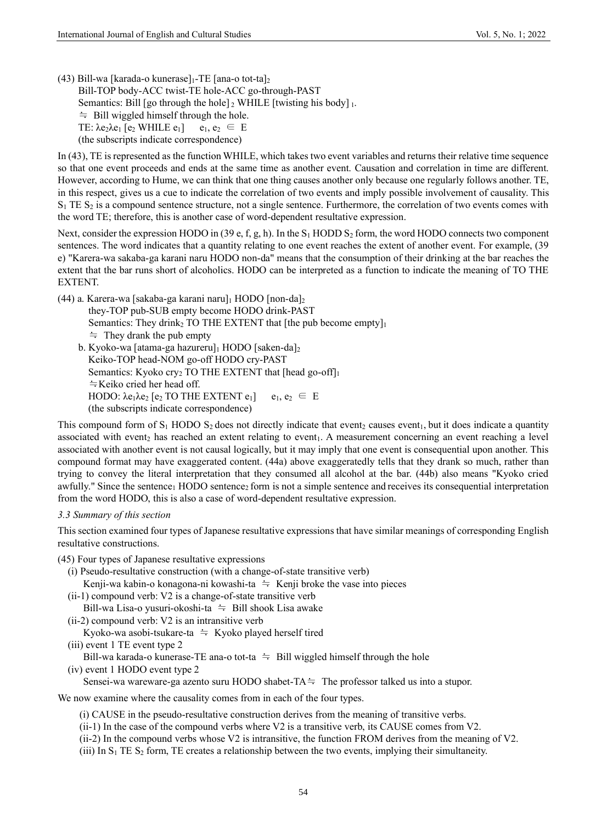(43) Bill-wa [karada-o kunerase] $_1$ -TE [ana-o tot-ta]<sub>2</sub>

 Bill-TOP body-ACC twist-TE hole-ACC go-through-PAST Semantics: Bill [go through the hole]  $_2$  WHILE [twisting his body]  $_1$ .  $\div$  Bill wiggled himself through the hole. TE:  $\lambda$ e<sub>2</sub> $\lambda$ e<sub>1</sub> [e<sub>2</sub> WHILE e<sub>1</sub>] e<sub>1</sub>, e<sub>2</sub>  $\in$  E (the subscripts indicate correspondence)

In (43), TE is represented as the function WHILE, which takes two event variables and returns their relative time sequence so that one event proceeds and ends at the same time as another event. Causation and correlation in time are different. However, according to Hume, we can think that one thing causes another only because one regularly follows another. TE, in this respect, gives us a cue to indicate the correlation of two events and imply possible involvement of causality. This  $S_1$  TE  $S_2$  is a compound sentence structure, not a single sentence. Furthermore, the correlation of two events comes with the word TE; therefore, this is another case of word-dependent resultative expression.

Next, consider the expression HODO in (39 e, f, g, h). In the S<sub>1</sub> HODD S<sub>2</sub> form, the word HODO connects two component sentences. The word indicates that a quantity relating to one event reaches the extent of another event. For example, (39 e) "Karera-wa sakaba-ga karani naru HODO non-da" means that the consumption of their drinking at the bar reaches the extent that the bar runs short of alcoholics. HODO can be interpreted as a function to indicate the meaning of TO THE EXTENT.

(44) a. Karera-wa [sakaba-ga karani naru]<sup>1</sup> HODO [non-da]<sup>2</sup>

they-TOP pub-SUB empty become HODO drink-PAST

Semantics: They drink<sub>2</sub> TO THE EXTENT that [the pub become empty] $_1$ 

≒ They drank the pub empty

b. Kyoko-wa [atama-ga hazureru]<sup>1</sup> HODO [saken-da]<sub>2</sub> Keiko-TOP head-NOM go-off HODO cry-PAST Semantics: Kyoko cry2 TO THE EXTENT that [head go-off]<sup>1</sup> ≒Keiko cried her head off. HODO:  $\lambda$ e<sub>1</sub> $\lambda$ e<sub>2</sub> [e<sub>2</sub> TO THE EXTENT e<sub>1</sub>] e<sub>1</sub>, e<sub>2</sub>  $\in$  E (the subscripts indicate correspondence)

This compound form of  $S_1$  HODO  $S_2$  does not directly indicate that event<sub>2</sub> causes event<sub>1</sub>, but it does indicate a quantity associated with event<sub>2</sub> has reached an extent relating to event<sub>1</sub>. A measurement concerning an event reaching a level associated with another event is not causal logically, but it may imply that one event is consequential upon another. This compound format may have exaggerated content. (44a) above exaggeratedly tells that they drank so much, rather than trying to convey the literal interpretation that they consumed all alcohol at the bar. (44b) also means "Kyoko cried awfully." Since the sentence<sub>1</sub> HODO sentence<sub>2</sub> form is not a simple sentence and receives its consequential interpretation from the word HODO, this is also a case of word-dependent resultative expression.

#### *3.3 Summary of this section*

This section examined four types of Japanese resultative expressions that have similar meanings of corresponding English resultative constructions.

- (45) Four types of Japanese resultative expressions
	- (i) Pseudo-resultative construction (with a change-of-state transitive verb) Kenji-wa kabin-o konagona-ni kowashi-ta  $\dot{=}$  Kenji broke the vase into pieces
	- (ii-1) compound verb: V2 is a change-of-state transitive verb Bill-wa Lisa-o yusuri-okoshi-ta  $\dot{=}$  Bill shook Lisa awake
	- (ii-2) compound verb: V2 is an intransitive verb

Kyoko-wa asobi-tsukare-ta  $\approx$  Kyoko played herself tired

(iii) event 1 TE event type 2

Bill-wa karada-o kunerase-TE ana-o tot-ta  $\approx$  Bill wiggled himself through the hole

(iv) event 1 HODO event type 2

Sensei-wa wareware-ga azento suru HODO shabet-TA $\doteq$  The professor talked us into a stupor.

We now examine where the causality comes from in each of the four types.

- (i) CAUSE in the pseudo-resultative construction derives from the meaning of transitive verbs.
- (ii-1) In the case of the compound verbs where V2 is a transitive verb, its CAUSE comes from V2.
- (ii-2) In the compound verbs whose V2 is intransitive, the function FROM derives from the meaning of V2.
- (iii) In  $S_1$  TE  $S_2$  form, TE creates a relationship between the two events, implying their simultaneity.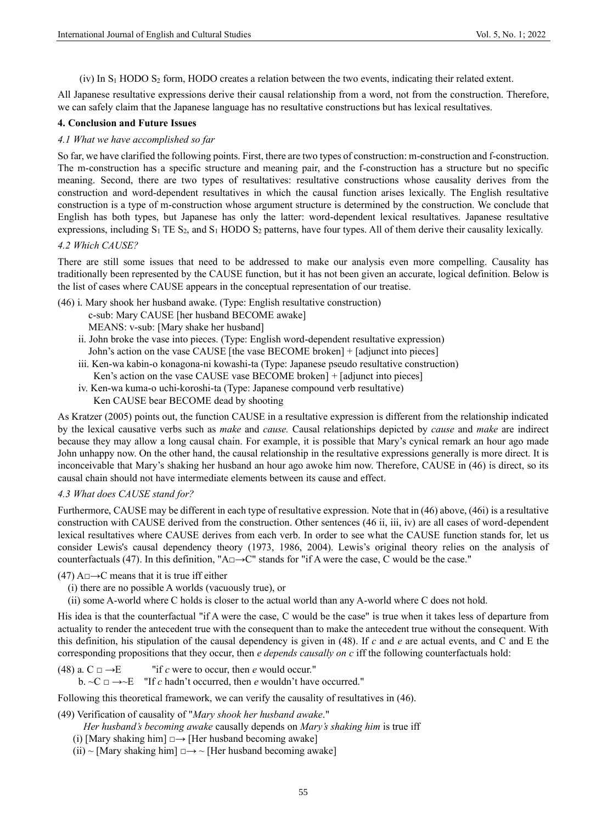(iv) In  $S_1$  HODO  $S_2$  form, HODO creates a relation between the two events, indicating their related extent.

All Japanese resultative expressions derive their causal relationship from a word, not from the construction. Therefore, we can safely claim that the Japanese language has no resultative constructions but has lexical resultatives.

#### **4. Conclusion and Future Issues**

## *4.1 What we have accomplished so far*

So far, we have clarified the following points. First, there are two types of construction: m-construction and f-construction. The m-construction has a specific structure and meaning pair, and the f-construction has a structure but no specific meaning. Second, there are two types of resultatives: resultative constructions whose causality derives from the construction and word-dependent resultatives in which the causal function arises lexically. The English resultative construction is a type of m-construction whose argument structure is determined by the construction. We conclude that English has both types, but Japanese has only the latter: word-dependent lexical resultatives. Japanese resultative expressions, including  $S_1$  TE  $S_2$ , and  $S_1$  HODO  $S_2$  patterns, have four types. All of them derive their causality lexically.

#### *4.2 Which CAUSE?*

There are still some issues that need to be addressed to make our analysis even more compelling. Causality has traditionally been represented by the CAUSE function, but it has not been given an accurate, logical definition. Below is the list of cases where CAUSE appears in the conceptual representation of our treatise.

(46) i. Mary shook her husband awake. (Type: English resultative construction)

c-sub: Mary CAUSE [her husband BECOME awake]

- MEANS: v-sub: [Mary shake her husband]
- ii. John broke the vase into pieces. (Type: English word-dependent resultative expression) John's action on the vase CAUSE [the vase BECOME broken] + [adjunct into pieces]
- iii. Ken-wa kabin-o konagona-ni kowashi-ta (Type: Japanese pseudo resultative construction) Ken's action on the vase CAUSE vase BECOME broken] + [adjunct into pieces]
- iv. Ken-wa kuma-o uchi-koroshi-ta (Type: Japanese compound verb resultative) Ken CAUSE bear BECOME dead by shooting

As Kratzer (2005) points out, the function CAUSE in a resultative expression is different from the relationship indicated by the lexical causative verbs such as *make* and *cause.* Causal relationships depicted by *cause* and *make* are indirect because they may allow a long causal chain. For example, it is possible that Mary's cynical remark an hour ago made John unhappy now. On the other hand, the causal relationship in the resultative expressions generally is more direct. It is inconceivable that Mary's shaking her husband an hour ago awoke him now. Therefore, CAUSE in (46) is direct, so its causal chain should not have intermediate elements between its cause and effect.

### *4.3 What does CAUSE stand for?*

Furthermore, CAUSE may be different in each type of resultative expression. Note that in (46) above, (46i) is a resultative construction with CAUSE derived from the construction. Other sentences (46 ii, iii, iv) are all cases of word-dependent lexical resultatives where CAUSE derives from each verb. In order to see what the CAUSE function stands for, let us consider Lewis's causal dependency theory (1973, 1986, 2004). Lewis's original theory relies on the analysis of counterfactuals (47). In this definition, "A□→C" stands for "if A were the case, C would be the case."

 $(47)$  A $\Box \rightarrow C$  means that it is true iff either

- (i) there are no possible A worlds (vacuously true), or
- (ii) some A-world where C holds is closer to the actual world than any A-world where C does not hold.

His idea is that the counterfactual "if A were the case, C would be the case" is true when it takes less of departure from actuality to render the antecedent true with the consequent than to make the antecedent true without the consequent. With this definition, his stipulation of the causal dependency is given in (48). If *c* and *e* are actual events, and C and E the corresponding propositions that they occur, then *e depends causally on c* iff the following counterfactuals hold:

(48) a.  $C \Box \rightarrow E$  "if *c* were to occur, then *e* would occur." b.  $\sim C \Box \rightarrow \sim E$  "If *c* hadn't occurred, then *e* wouldn't have occurred."

Following this theoretical framework, we can verify the causality of resultatives in (46).

(49) Verification of causality of "*Mary shook her husband awake*."

*Her husband's becoming awake* causally depends on *Mary's shaking him* is true iff

- (i) [Mary shaking him]  $\Box \rightarrow$  [Her husband becoming awake]
- $(ii)$  ~ [Mary shaking him]  $\Box \rightarrow \sim$  [Her husband becoming awake]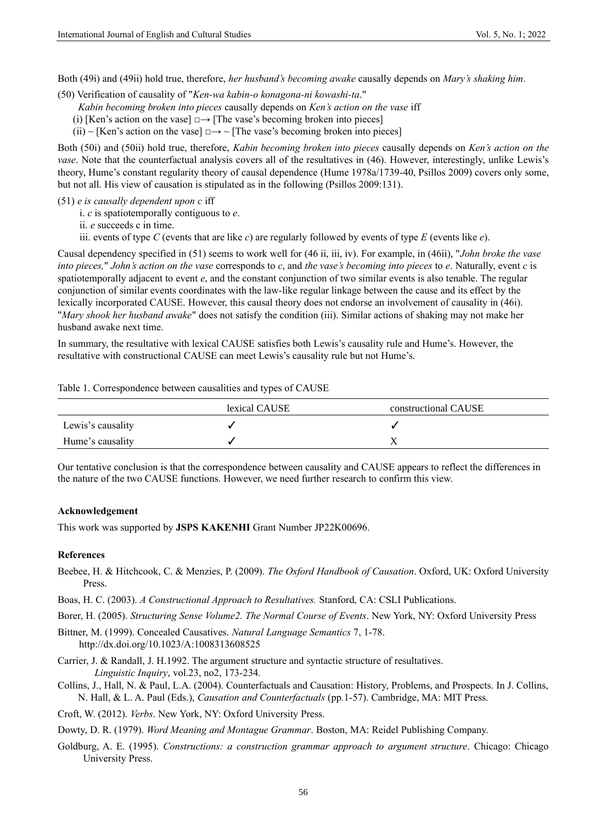Both (49i) and (49ii) hold true, therefore, *her husband's becoming awake* causally depends on *Mary's shaking him*.

(50) Verification of causality of "*Ken-wa kabin-o konagona-ni kowashi-ta*."

*Kabin becoming broken into pieces* causally depends on *Ken's action on the vase* iff

(i) [Ken's action on the vase]  $\Box \rightarrow$  [The vase's becoming broken into pieces]

(ii) ~ [Ken's action on the vase]  $\Box \rightarrow \sim$  [The vase's becoming broken into pieces]

Both (50i) and (50ii) hold true, therefore, *Kabin becoming broken into pieces* causally depends on *Ken's action on the vase*. Note that the counterfactual analysis covers all of the resultatives in (46). However, interestingly, unlike Lewis's theory, Hume's constant regularity theory of causal dependence (Hume 1978a/1739-40, Psillos 2009) covers only some, but not all. His view of causation is stipulated as in the following (Psillos 2009:131).

(51) *e is causally dependent upon c* iff

i. *c* is spatiotemporally contiguous to *e*.

ii. *e* succeeds c in time.

iii. events of type *C* (events that are like *c*) are regularly followed by events of type *E* (events like *e*).

Causal dependency specified in (51) seems to work well for (46 ii, iii, iv). For example, in (46ii), "*John broke the vase into pieces,*" *John's action on the vase* corresponds to *c*, and *the vase's becoming into pieces* to *e*. Naturally, event *c* is spatiotemporally adjacent to event *e*, and the constant conjunction of two similar events is also tenable. The regular conjunction of similar events coordinates with the law-like regular linkage between the cause and its effect by the lexically incorporated CAUSE. However, this causal theory does not endorse an involvement of causality in (46i). "*Mary shook her husband awake*" does not satisfy the condition (iii). Similar actions of shaking may not make her husband awake next time.

In summary, the resultative with lexical CAUSE satisfies both Lewis's causality rule and Hume's. However, the resultative with constructional CAUSE can meet Lewis's causality rule but not Hume's.

|  |  |  | Table 1. Correspondence between causalities and types of CAUSE |
|--|--|--|----------------------------------------------------------------|
|  |  |  |                                                                |

|                   | lexical CAUSE | constructional CAUSE |
|-------------------|---------------|----------------------|
| Lewis's causality |               |                      |
| Hume's causality  |               |                      |

Our tentative conclusion is that the correspondence between causality and CAUSE appears to reflect the differences in the nature of the two CAUSE functions. However, we need further research to confirm this view.

#### **Acknowledgement**

This work was supported by **JSPS KAKENHI** Grant Number JP22K00696.

#### **References**

- Beebee, H. & Hitchcook, C. & Menzies, P. (2009). *The Oxford Handbook of Causation*. Oxford, UK: Oxford University Press.
- Boas, H. C. (2003). *A Constructional Approach to Resultatives.* Stanford, CA: CSLI Publications.
- Borer, H. (2005). *Structuring Sense Volume2. The Normal Course of Events*. New York, NY: Oxford University Press

Bittner, M. (1999). Concealed Causatives. *Natural Language Semantics* 7, 1-78. http://dx.doi.org/10.1023/A:1008313608525

- Carrier, J. & Randall, J. H.1992. The argument structure and syntactic structure of resultatives. *Linguistic Inquiry*, vol.23, no2, 173-234.
- Collins, J., Hall, N. & Paul, L.A. (2004). Counterfactuals and Causation: History, Problems, and Prospects. In J. Collins, N. Hall, & L. A. Paul (Eds.), *Causation and Counterfactuals* (pp*.*1-57). Cambridge, MA: MIT Press.

Croft, W. (2012). *Verbs*. New York, NY: Oxford University Press.

Dowty, D. R. (1979). *Word Meaning and Montague Grammar*. Boston, MA: Reidel Publishing Company.

Goldburg, A. E. (1995). *Constructions: a construction grammar approach to argument structure*. Chicago: Chicago University Press.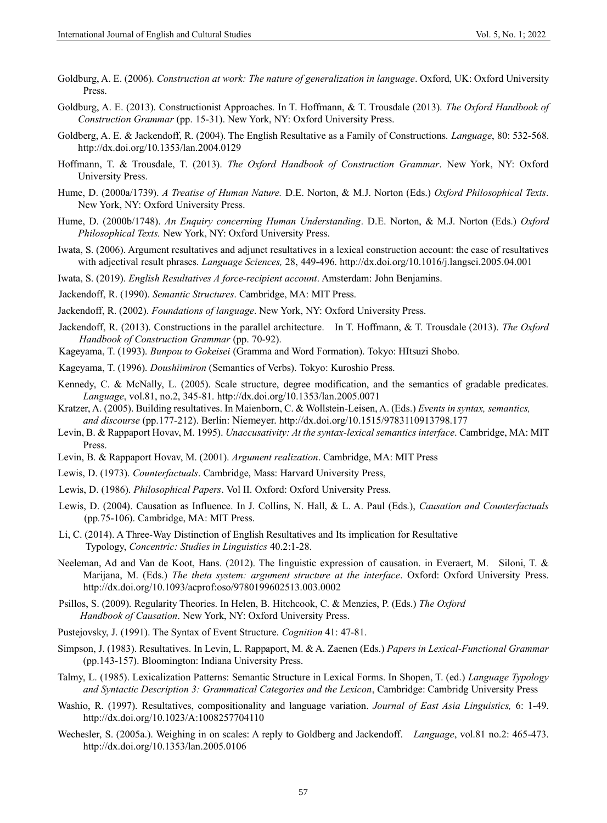- Goldburg, A. E. (2006). *Construction at work: The nature of generalization in language*. Oxford, UK: Oxford University Press.
- Goldburg, A. E. (2013). Constructionist Approaches. In T. Hoffmann, & T. Trousdale (2013). *The Oxford Handbook of Construction Grammar* (pp. 15-31). New York, NY: Oxford University Press.
- Goldberg, A. E. & Jackendoff, R. (2004). The English Resultative as a Family of Constructions. *Language*, 80: 532-568. http://dx.doi.org/10.1353/lan.2004.0129
- Hoffmann, T. & Trousdale, T. (2013). *The Oxford Handbook of Construction Grammar*. New York, NY: Oxford University Press.
- Hume, D. (2000a/1739). *A Treatise of Human Nature.* D.E. Norton, & M.J. Norton (Eds.) *Oxford Philosophical Texts*. New York, NY: Oxford University Press.
- Hume, D. (2000b/1748). *An Enquiry concerning Human Understanding*. D.E. Norton, & M.J. Norton (Eds.) *Oxford Philosophical Texts.* New York, NY: Oxford University Press.
- Iwata, S. (2006). Argument resultatives and adjunct resultatives in a lexical construction account: the case of resultatives with adjectival result phrases. *Language Sciences,* 28, 449-496. http://dx.doi.org/10.1016/j.langsci.2005.04.001
- Iwata, S. (2019). *English Resultatives A force-recipient account*. Amsterdam: John Benjamins.
- Jackendoff, R. (1990). *Semantic Structures*. Cambridge, MA: MIT Press.
- Jackendoff, R. (2002). *Foundations of language*. New York, NY: Oxford University Press.
- Jackendoff, R. (2013). Constructions in the parallel architecture. In T. Hoffmann, & T. Trousdale (2013). *The Oxford Handbook of Construction Grammar* (pp. 70-92).
- Kageyama, T. (1993). *Bunpou to Gokeisei* (Gramma and Word Formation). Tokyo: HItsuzi Shobo.
- Kageyama, T. (1996). *Doushiimiron* (Semantics of Verbs). Tokyo: Kuroshio Press.
- Kennedy, C. & McNally, L. (2005). Scale structure, degree modification, and the semantics of gradable predicates. *Language*, vol.81, no.2, 345-81. http://dx.doi.org/10.1353/lan.2005.0071
- Kratzer, A. (2005). Building resultatives. In Maienborn, C. & Wollstein-Leisen, A. (Eds.) *Events in syntax, semantics, and discourse* (pp.177-212). Berlin: Niemeyer. http://dx.doi.org/10.1515/9783110913798.177
- Levin, B. & Rappaport Hovav, M. 1995). *Unaccusativity: At the syntax-lexical semantics interface*. Cambridge, MA: MIT Press.
- Levin, B. & Rappaport Hovav, M. (2001). *Argument realization*. Cambridge, MA: MIT Press
- Lewis, D. (1973). *Counterfactuals*. Cambridge, Mass: Harvard University Press,
- Lewis, D. (1986). *Philosophical Papers*. Vol II. Oxford: Oxford University Press.
- Lewis, D. (2004). Causation as Influence. In J. Collins, N. Hall, & L. A. Paul (Eds.), *Causation and Counterfactuals*  (pp*.*75-106). Cambridge, MA: MIT Press.
- Li, C. (2014). A Three-Way Distinction of English Resultatives and Its implication for Resultative Typology, *Concentric: Studies in Linguistics* 40.2:1-28.
- Neeleman, Ad and Van de Koot, Hans. (2012). The linguistic expression of causation. in Everaert, M. Siloni, T. & Marijana, M. (Eds.) *The theta system: argument structure at the interface*. Oxford: Oxford University Press. http://dx.doi.org/10.1093/acprof:oso/9780199602513.003.0002
- Psillos, S. (2009). Regularity Theories. In Helen, B. Hitchcook, C. & Menzies, P. (Eds.) *The Oxford Handbook of Causation*. New York, NY: Oxford University Press.
- Pustejovsky, J. (1991). The Syntax of Event Structure. *Cognition* 41: 47-81.
- Simpson, J. (1983). Resultatives. In Levin, L. Rappaport, M. & A. Zaenen (Eds.) *Papers in Lexical-Functional Grammar* (pp.143-157). Bloomington: Indiana University Press.
- Talmy, L. (1985). Lexicalization Patterns: Semantic Structure in Lexical Forms. In Shopen, T. (ed.) *Language Typology and Syntactic Description 3: Grammatical Categories and the Lexicon*, Cambridge: Cambridg University Press
- Washio, R. (1997). Resultatives, compositionality and language variation. *Journal of East Asia Linguistics,* 6: 1-49. http://dx.doi.org/10.1023/A:1008257704110
- Wechesler, S. (2005a.). Weighing in on scales: A reply to Goldberg and Jackendoff. *Language*, vol.81 no.2: 465-473. http://dx.doi.org/10.1353/lan.2005.0106